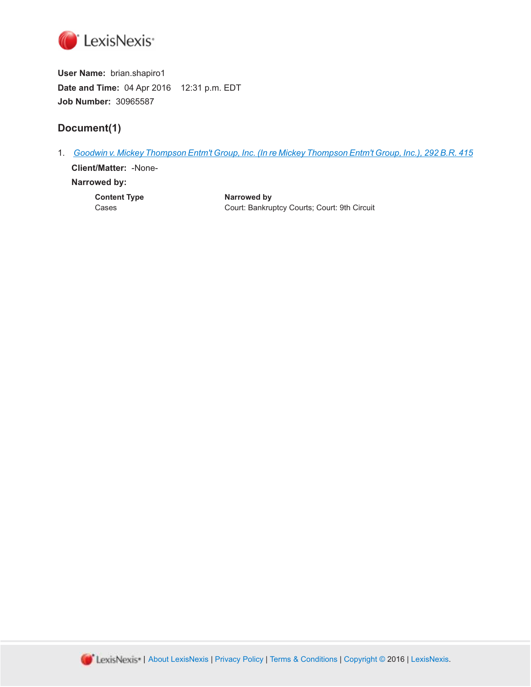

**User Name:** brian.shapiro1 **Date and Time:** 04 Apr 2016 12:31 p.m. EDT **Job Number:** 30965587

# **Document(1)**

1. *[Goodwin v. Mickey Thompson Entm't Group, Inc. \(In re Mickey Thompson Entm't Group, Inc.\), 292 B.R. 415](http://advance.lexis.com/api/document?id=urn:contentItem:48FK-J9F0-0039-0271-00000-00&idtype=PID&context=1000516)* **Client/Matter:** -None-

### **Narrowed by:**

**Content Type Cases Content Type Narrowed by**<br>Cases Court: Bankru Court: Bankruptcy Courts; Court: 9th Circuit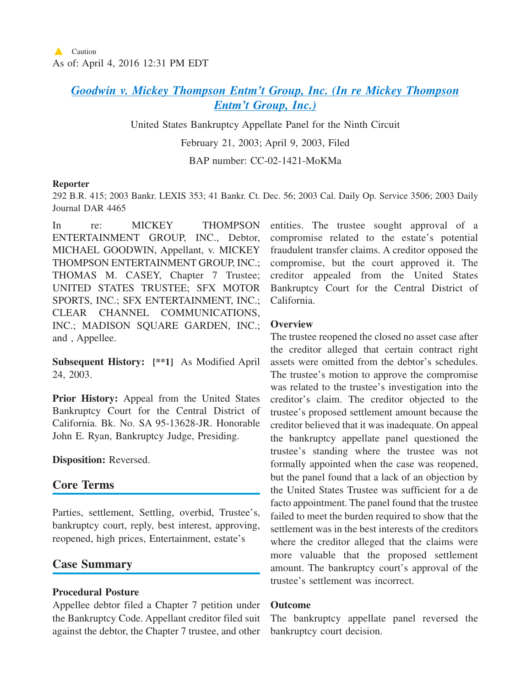# *[Goodwin v. Mickey Thompson Entm't Group, Inc. \(In re Mickey Thompson](http://advance.lexis.com/api/document?collection=cases&id=urn:contentItem:48FK-J9F0-0039-0271-00000-00&context=1000516) [Entm't Group, Inc.\)](http://advance.lexis.com/api/document?collection=cases&id=urn:contentItem:48FK-J9F0-0039-0271-00000-00&context=1000516)*

United States Bankruptcy Appellate Panel for the Ninth Circuit

February 21, 2003; April 9, 2003, Filed

BAP number: CC-02-1421-MoKMa

#### **Reporter**

292 B.R. 415; 2003 Bankr. LEXIS 353; 41 Bankr. Ct. Dec. 56; 2003 Cal. Daily Op. Service 3506; 2003 Daily Journal DAR 4465

In re: MICKEY THOMPSON ENTERTAINMENT GROUP, INC., Debtor, MICHAEL GOODWIN, Appellant, v. MICKEY THOMPSON ENTERTAINMENT GROUP, INC.; THOMAS M. CASEY, Chapter 7 Trustee; UNITED STATES TRUSTEE; SFX MOTOR SPORTS, INC.; SFX ENTERTAINMENT, INC.; CLEAR CHANNEL COMMUNICATIONS, INC.; MADISON SQUARE GARDEN, INC.; and , Appellee.

**Subsequent History: [\*\*1]** As Modified April 24, 2003.

**Prior History:** Appeal from the United States Bankruptcy Court for the Central District of California. Bk. No. SA 95-13628-JR. Honorable John E. Ryan, Bankruptcy Judge, Presiding.

**Disposition:** Reversed.

# **Core Terms**

Parties, settlement, Settling, overbid, Trustee's, bankruptcy court, reply, best interest, approving, reopened, high prices, Entertainment, estate's

# **Case Summary**

# **Procedural Posture**

Appellee debtor filed a Chapter 7 petition under the Bankruptcy Code. Appellant creditor filed suit against the debtor, the Chapter 7 trustee, and other entities. The trustee sought approval of a compromise related to the estate's potential fraudulent transfer claims. A creditor opposed the compromise, but the court approved it. The creditor appealed from the United States Bankruptcy Court for the Central District of California.

### **Overview**

The trustee reopened the closed no asset case after the creditor alleged that certain contract right assets were omitted from the debtor's schedules. The trustee's motion to approve the compromise was related to the trustee's investigation into the creditor's claim. The creditor objected to the trustee's proposed settlement amount because the creditor believed that it was inadequate. On appeal the bankruptcy appellate panel questioned the trustee's standing where the trustee was not formally appointed when the case was reopened, but the panel found that a lack of an objection by the United States Trustee was sufficient for a de facto appointment. The panel found that the trustee failed to meet the burden required to show that the settlement was in the best interests of the creditors where the creditor alleged that the claims were more valuable that the proposed settlement amount. The bankruptcy court's approval of the trustee's settlement was incorrect.

### **Outcome**

The bankruptcy appellate panel reversed the bankruptcy court decision.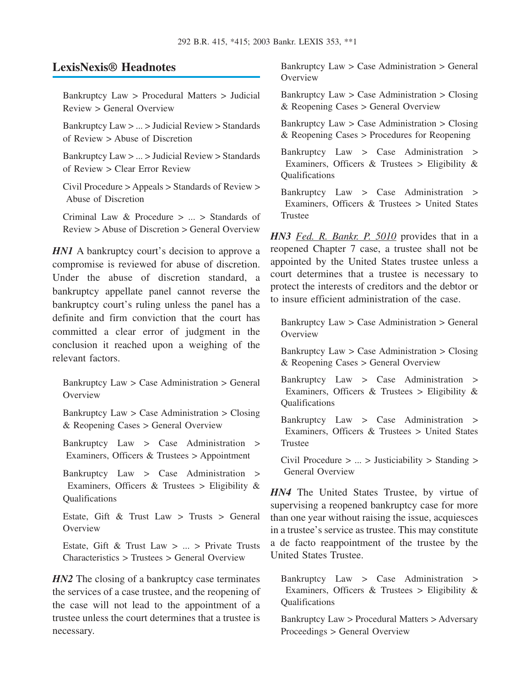# **LexisNexis® Headnotes**

Bankruptcy Law > Procedural Matters > Judicial Review > General Overview

Bankruptcy Law > ... > Judicial Review > Standards of Review > Abuse of Discretion

Bankruptcy Law > ... > Judicial Review > Standards of Review > Clear Error Review

Civil Procedure > Appeals > Standards of Review > Abuse of Discretion

Criminal Law & Procedure > ... > Standards of Review > Abuse of Discretion > General Overview

*HN1* A bankruptcy court's decision to approve a compromise is reviewed for abuse of discretion. Under the abuse of discretion standard, a bankruptcy appellate panel cannot reverse the bankruptcy court's ruling unless the panel has a definite and firm conviction that the court has committed a clear error of judgment in the conclusion it reached upon a weighing of the relevant factors.

Bankruptcy Law > Case Administration > General **Overview** 

Bankruptcy Law > Case Administration > Closing & Reopening Cases > General Overview

Bankruptcy Law > Case Administration > Examiners, Officers & Trustees > Appointment

Bankruptcy Law > Case Administration > Examiners, Officers & Trustees > Eligibility & Qualifications

Estate, Gift & Trust Law  $>$  Trusts  $>$  General **Overview** 

Estate, Gift & Trust Law  $> ... >$  Private Trusts Characteristics > Trustees > General Overview

*HN2* The closing of a bankruptcy case terminates the services of a case trustee, and the reopening of the case will not lead to the appointment of a trustee unless the court determines that a trustee is necessary.

Bankruptcy Law > Case Administration > General Overview

Bankruptcy Law > Case Administration > Closing & Reopening Cases > General Overview

Bankruptcy Law > Case Administration > Closing & Reopening Cases > Procedures for Reopening

Bankruptcy Law > Case Administration > Examiners, Officers  $\&$  Trustees > Eligibility  $\&$ **Oualifications** 

Bankruptcy Law > Case Administration > Examiners, Officers & Trustees > United States Trustee

*HN3 Fed. R. Bankr. P. 5010* provides that in a reopened Chapter 7 case, a trustee shall not be appointed by the United States trustee unless a court determines that a trustee is necessary to protect the interests of creditors and the debtor or to insure efficient administration of the case.

Bankruptcy Law > Case Administration > General **Overview** 

Bankruptcy Law > Case Administration > Closing & Reopening Cases > General Overview

Bankruptcy Law > Case Administration > Examiners, Officers & Trustees > Eligibility & Qualifications

Bankruptcy Law > Case Administration > Examiners, Officers & Trustees > United States Trustee

Civil Procedure > ... > Justiciability > Standing > General Overview

*HN4* The United States Trustee, by virtue of supervising a reopened bankruptcy case for more than one year without raising the issue, acquiesces in a trustee's service as trustee. This may constitute a de facto reappointment of the trustee by the United States Trustee.

Bankruptcy Law > Case Administration > Examiners, Officers & Trustees > Eligibility & Qualifications

Bankruptcy Law > Procedural Matters > Adversary Proceedings > General Overview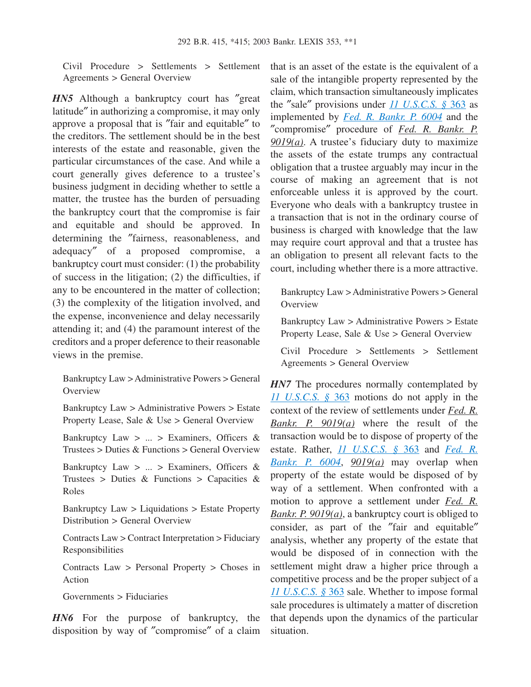Civil Procedure > Settlements > Settlement Agreements > General Overview

*HN5* Although a bankruptcy court has "great" latitude″ in authorizing a compromise, it may only approve a proposal that is ″fair and equitable″ to the creditors. The settlement should be in the best interests of the estate and reasonable, given the particular circumstances of the case. And while a court generally gives deference to a trustee's business judgment in deciding whether to settle a matter, the trustee has the burden of persuading the bankruptcy court that the compromise is fair and equitable and should be approved. In determining the ″fairness, reasonableness, and adequacy″ of a proposed compromise, a bankruptcy court must consider: (1) the probability of success in the litigation; (2) the difficulties, if any to be encountered in the matter of collection; (3) the complexity of the litigation involved, and the expense, inconvenience and delay necessarily attending it; and (4) the paramount interest of the creditors and a proper deference to their reasonable views in the premise.

Bankruptcy Law > Administrative Powers > General **Overview** 

Bankruptcy Law > Administrative Powers > Estate Property Lease, Sale & Use > General Overview

Bankruptcy Law  $> ... >$  Examiners, Officers & Trustees > Duties & Functions > General Overview

Bankruptcy Law > ... > Examiners, Officers & Trustees > Duties & Functions > Capacities & Roles

Bankruptcy Law > Liquidations > Estate Property Distribution > General Overview

Contracts Law > Contract Interpretation > Fiduciary Responsibilities

Contracts Law > Personal Property > Choses in Action

Governments > Fiduciaries

*HN6* For the purpose of bankruptcy, the disposition by way of ″compromise″ of a claim that is an asset of the estate is the equivalent of a sale of the intangible property represented by the claim, which transaction simultaneously implicates the ″sale″ provisions under *[11 U.S.C.S. §](http://advance.lexis.com/api/document?collection=statutes-legislation&id=urn:contentItem:4YF7-GRG1-NRF4-43FD-00000-00&context=1000516)* 363 as implemented by *[Fed. R. Bankr. P. 6004](http://advance.lexis.com/api/document?collection=statutes-legislation&id=urn:contentItem:4YF7-GHY1-NRF4-40J5-00000-00&context=1000516)* and the ″compromise″ procedure of *Fed. R. Bankr. P. 9019(a)*. A trustee's fiduciary duty to maximize the assets of the estate trumps any contractual obligation that a trustee arguably may incur in the course of making an agreement that is not enforceable unless it is approved by the court. Everyone who deals with a bankruptcy trustee in a transaction that is not in the ordinary course of business is charged with knowledge that the law may require court approval and that a trustee has an obligation to present all relevant facts to the court, including whether there is a more attractive.

Bankruptcy Law > Administrative Powers > General **Overview** 

Bankruptcy Law > Administrative Powers > Estate Property Lease, Sale & Use > General Overview

Civil Procedure > Settlements > Settlement Agreements > General Overview

*HN7* The procedures normally contemplated by *[11 U.S.C.S. §](http://advance.lexis.com/api/document?collection=statutes-legislation&id=urn:contentItem:4YF7-GRG1-NRF4-43FD-00000-00&context=1000516)* 363 motions do not apply in the context of the review of settlements under *Fed. R. Bankr. P. 9019(a)* where the result of the transaction would be to dispose of property of the estate. Rather, *[11 U.S.C.S. §](http://advance.lexis.com/api/document?collection=statutes-legislation&id=urn:contentItem:4YF7-GRG1-NRF4-43FD-00000-00&context=1000516)* 363 and *[Fed. R.](http://advance.lexis.com/api/document?collection=statutes-legislation&id=urn:contentItem:4YF7-GHY1-NRF4-40J5-00000-00&context=1000516) [Bankr. P. 6004](http://advance.lexis.com/api/document?collection=statutes-legislation&id=urn:contentItem:4YF7-GHY1-NRF4-40J5-00000-00&context=1000516)*, *9019(a)* may overlap when property of the estate would be disposed of by way of a settlement. When confronted with a motion to approve a settlement under *Fed. R. Bankr. P. 9019(a)*, a bankruptcy court is obliged to consider, as part of the ″fair and equitable″ analysis, whether any property of the estate that would be disposed of in connection with the settlement might draw a higher price through a competitive process and be the proper subject of a *[11 U.S.C.S. §](http://advance.lexis.com/api/document?collection=statutes-legislation&id=urn:contentItem:4YF7-GRG1-NRF4-43FD-00000-00&context=1000516)* 363 sale. Whether to impose formal sale procedures is ultimately a matter of discretion that depends upon the dynamics of the particular situation.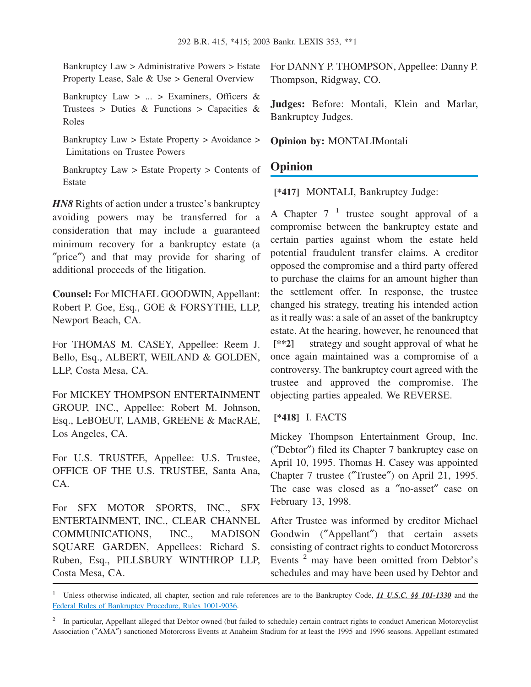Bankruptcy Law > Administrative Powers > Estate Property Lease, Sale & Use > General Overview

Bankruptcy Law > ... > Examiners, Officers & Trustees > Duties & Functions > Capacities & Roles

Bankruptcy Law > Estate Property > Avoidance > Limitations on Trustee Powers

Bankruptcy Law > Estate Property > Contents of Estate

*HN8* Rights of action under a trustee's bankruptcy avoiding powers may be transferred for a consideration that may include a guaranteed minimum recovery for a bankruptcy estate (a ″price″) and that may provide for sharing of additional proceeds of the litigation.

**Counsel:** For MICHAEL GOODWIN, Appellant: Robert P. Goe, Esq., GOE & FORSYTHE, LLP, Newport Beach, CA.

For THOMAS M. CASEY, Appellee: Reem J. Bello, Esq., ALBERT, WEILAND & GOLDEN, LLP, Costa Mesa, CA.

For MICKEY THOMPSON ENTERTAINMENT GROUP, INC., Appellee: Robert M. Johnson, Esq., LeBOEUT, LAMB, GREENE & MacRAE, Los Angeles, CA.

For U.S. TRUSTEE, Appellee: U.S. Trustee, OFFICE OF THE U.S. TRUSTEE, Santa Ana, CA.

For SFX MOTOR SPORTS, INC., SFX ENTERTAINMENT, INC., CLEAR CHANNEL COMMUNICATIONS, INC., MADISON SQUARE GARDEN, Appellees: Richard S. Ruben, Esq., PILLSBURY WINTHROP LLP, Costa Mesa, CA.

For DANNY P. THOMPSON, Appellee: Danny P. Thompson, Ridgway, CO.

**Judges:** Before: Montali, Klein and Marlar, Bankruptcy Judges.

**Opinion by:** MONTALIMontali

# **Opinion**

**[\*417]** MONTALI, Bankruptcy Judge:

A Chapter  $7^{-1}$  trustee sought approval of a compromise between the bankruptcy estate and certain parties against whom the estate held potential fraudulent transfer claims. A creditor opposed the compromise and a third party offered to purchase the claims for an amount higher than the settlement offer. In response, the trustee changed his strategy, treating his intended action as it really was: a sale of an asset of the bankruptcy estate. At the hearing, however, he renounced that **[\*\*2]** strategy and sought approval of what he once again maintained was a compromise of a controversy. The bankruptcy court agreed with the trustee and approved the compromise. The objecting parties appealed. We REVERSE.

### **[\*418]** I. FACTS

Mickey Thompson Entertainment Group, Inc. (″Debtor″) filed its Chapter 7 bankruptcy case on April 10, 1995. Thomas H. Casey was appointed Chapter 7 trustee (″Trustee″) on April 21, 1995. The case was closed as a ″no-asset″ case on February 13, 1998.

After Trustee was informed by creditor Michael Goodwin (″Appellant″) that certain assets consisting of contract rights to conduct Motorcross Events <sup>2</sup> may have been omitted from Debtor's schedules and may have been used by Debtor and

<sup>1</sup> Unless otherwise indicated, all chapter, section and rule references are to the Bankruptcy Code, *11 U.S.C. §§ 101-1330* and the [Federal Rules of Bankruptcy Procedure, Rules 1001-9036.](http://advance.lexis.com/api/document?collection=statutes-legislation&id=urn:contentItem:4YF7-GSV1-NRF4-412J-00000-00&context=1000516)

<sup>&</sup>lt;sup>2</sup> In particular, Appellant alleged that Debtor owned (but failed to schedule) certain contract rights to conduct American Motorcyclist Association (″AMA″) sanctioned Motorcross Events at Anaheim Stadium for at least the 1995 and 1996 seasons. Appellant estimated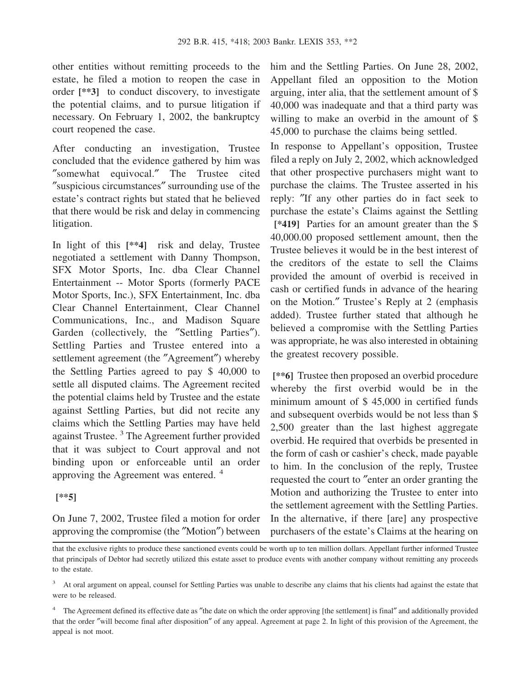other entities without remitting proceeds to the estate, he filed a motion to reopen the case in order **[\*\*3]** to conduct discovery, to investigate the potential claims, and to pursue litigation if necessary. On February 1, 2002, the bankruptcy court reopened the case.

After conducting an investigation, Trustee concluded that the evidence gathered by him was ″somewhat equivocal.″ The Trustee cited ″suspicious circumstances″ surrounding use of the estate's contract rights but stated that he believed that there would be risk and delay in commencing litigation.

In light of this **[\*\*4]** risk and delay, Trustee negotiated a settlement with Danny Thompson, SFX Motor Sports, Inc. dba Clear Channel Entertainment -- Motor Sports (formerly PACE Motor Sports, Inc.), SFX Entertainment, Inc. dba Clear Channel Entertainment, Clear Channel Communications, Inc., and Madison Square Garden (collectively, the "Settling Parties"). Settling Parties and Trustee entered into a settlement agreement (the ″Agreement″) whereby the Settling Parties agreed to pay \$ 40,000 to settle all disputed claims. The Agreement recited the potential claims held by Trustee and the estate against Settling Parties, but did not recite any claims which the Settling Parties may have held against Trustee.<sup>3</sup> The Agreement further provided that it was subject to Court approval and not binding upon or enforceable until an order approving the Agreement was entered. <sup>4</sup>

#### **[\*\*5]**

On June 7, 2002, Trustee filed a motion for order approving the compromise (the ″Motion″) between him and the Settling Parties. On June 28, 2002, Appellant filed an opposition to the Motion arguing, inter alia, that the settlement amount of \$ 40,000 was inadequate and that a third party was willing to make an overbid in the amount of \$ 45,000 to purchase the claims being settled.

In response to Appellant's opposition, Trustee filed a reply on July 2, 2002, which acknowledged that other prospective purchasers might want to purchase the claims. The Trustee asserted in his reply: ″If any other parties do in fact seek to purchase the estate's Claims against the Settling **[\*419]** Parties for an amount greater than the \$ 40,000.00 proposed settlement amount, then the Trustee believes it would be in the best interest of the creditors of the estate to sell the Claims provided the amount of overbid is received in cash or certified funds in advance of the hearing on the Motion.″ Trustee's Reply at 2 (emphasis added). Trustee further stated that although he believed a compromise with the Settling Parties was appropriate, he was also interested in obtaining the greatest recovery possible.

**[\*\*6]** Trustee then proposed an overbid procedure whereby the first overbid would be in the minimum amount of \$ 45,000 in certified funds and subsequent overbids would be not less than \$ 2,500 greater than the last highest aggregate overbid. He required that overbids be presented in the form of cash or cashier's check, made payable to him. In the conclusion of the reply, Trustee requested the court to ″enter an order granting the Motion and authorizing the Trustee to enter into the settlement agreement with the Settling Parties. In the alternative, if there [are] any prospective purchasers of the estate's Claims at the hearing on

that the exclusive rights to produce these sanctioned events could be worth up to ten million dollars. Appellant further informed Trustee that principals of Debtor had secretly utilized this estate asset to produce events with another company without remitting any proceeds to the estate.

<sup>&</sup>lt;sup>3</sup> At oral argument on appeal, counsel for Settling Parties was unable to describe any claims that his clients had against the estate that were to be released.

<sup>&</sup>lt;sup>4</sup> The Agreement defined its effective date as "the date on which the order approving [the settlement] is final" and additionally provided that the order ″will become final after disposition″ of any appeal. Agreement at page 2. In light of this provision of the Agreement, the appeal is not moot.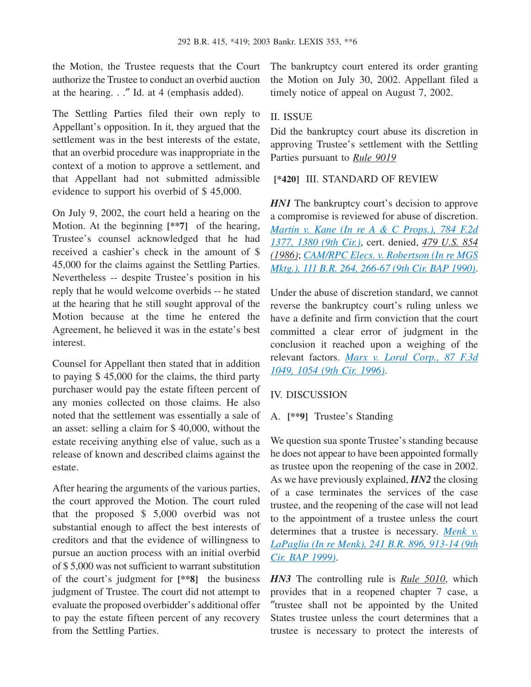the Motion, the Trustee requests that the Court authorize the Trustee to conduct an overbid auction at the hearing. . .″ Id. at 4 (emphasis added).

The Settling Parties filed their own reply to Appellant's opposition. In it, they argued that the settlement was in the best interests of the estate, that an overbid procedure was inappropriate in the context of a motion to approve a settlement, and that Appellant had not submitted admissible evidence to support his overbid of \$ 45,000.

On July 9, 2002, the court held a hearing on the Motion. At the beginning **[\*\*7]** of the hearing, Trustee's counsel acknowledged that he had received a cashier's check in the amount of \$ 45,000 for the claims against the Settling Parties. Nevertheless -- despite Trustee's position in his reply that he would welcome overbids -- he stated at the hearing that he still sought approval of the Motion because at the time he entered the Agreement, he believed it was in the estate's best interest.

Counsel for Appellant then stated that in addition to paying \$ 45,000 for the claims, the third party purchaser would pay the estate fifteen percent of any monies collected on those claims. He also noted that the settlement was essentially a sale of an asset: selling a claim for \$ 40,000, without the estate receiving anything else of value, such as a release of known and described claims against the estate.

After hearing the arguments of the various parties, the court approved the Motion. The court ruled that the proposed \$ 5,000 overbid was not substantial enough to affect the best interests of creditors and that the evidence of willingness to pursue an auction process with an initial overbid of \$ 5,000 was not sufficient to warrant substitution of the court's judgment for **[\*\*8]** the business judgment of Trustee. The court did not attempt to evaluate the proposed overbidder's additional offer to pay the estate fifteen percent of any recovery from the Settling Parties.

The bankruptcy court entered its order granting the Motion on July 30, 2002. Appellant filed a timely notice of appeal on August 7, 2002.

### II. ISSUE

Did the bankruptcy court abuse its discretion in approving Trustee's settlement with the Settling Parties pursuant to *Rule 9019*

#### **[\*420]** III. STANDARD OF REVIEW

*HN1* The bankruptcy court's decision to approve a compromise is reviewed for abuse of discretion. *[Martin v. Kane \(In re A & C Props.\), 784 F.2d](http://advance.lexis.com/api/document?collection=cases&id=urn:contentItem:3S4X-89K0-0039-P1J8-00000-00&context=1000516) [1377, 1380 \(9th Cir.\)](http://advance.lexis.com/api/document?collection=cases&id=urn:contentItem:3S4X-89K0-0039-P1J8-00000-00&context=1000516)*, cert. denied, *479 U.S. 854 (1986)*; *[CAM/RPC Elecs. v. Robertson \(In re MGS](http://advance.lexis.com/api/document?collection=cases&id=urn:contentItem:3S4V-JWS0-0039-K354-00000-00&context=1000516) [Mktg.\), 111 B.R. 264, 266-67 \(9th Cir. BAP 1990\)](http://advance.lexis.com/api/document?collection=cases&id=urn:contentItem:3S4V-JWS0-0039-K354-00000-00&context=1000516)*.

Under the abuse of discretion standard, we cannot reverse the bankruptcy court's ruling unless we have a definite and firm conviction that the court committed a clear error of judgment in the conclusion it reached upon a weighing of the relevant factors. *[Marx v. Loral Corp., 87 F.3d](http://advance.lexis.com/api/document?collection=cases&id=urn:contentItem:3S4X-2050-006F-M22H-00000-00&context=1000516) [1049, 1054 \(9th Cir. 1996\)](http://advance.lexis.com/api/document?collection=cases&id=urn:contentItem:3S4X-2050-006F-M22H-00000-00&context=1000516)*.

### IV. DISCUSSION

A. **[\*\*9]** Trustee's Standing

We question sua sponte Trustee's standing because he does not appear to have been appointed formally as trustee upon the reopening of the case in 2002. As we have previously explained, *HN2* the closing of a case terminates the services of the case trustee, and the reopening of the case will not lead to the appointment of a trustee unless the court determines that a trustee is necessary. *[Menk v.](http://advance.lexis.com/api/document?collection=cases&id=urn:contentItem:3XYW-2J70-0039-0085-00000-00&context=1000516) [LaPaglia \(In re Menk\), 241 B.R. 896, 913-14 \(9th](http://advance.lexis.com/api/document?collection=cases&id=urn:contentItem:3XYW-2J70-0039-0085-00000-00&context=1000516) [Cir. BAP 1999\)](http://advance.lexis.com/api/document?collection=cases&id=urn:contentItem:3XYW-2J70-0039-0085-00000-00&context=1000516)*.

*HN3* The controlling rule is *Rule 5010*, which provides that in a reopened chapter 7 case, a ″trustee shall not be appointed by the United States trustee unless the court determines that a trustee is necessary to protect the interests of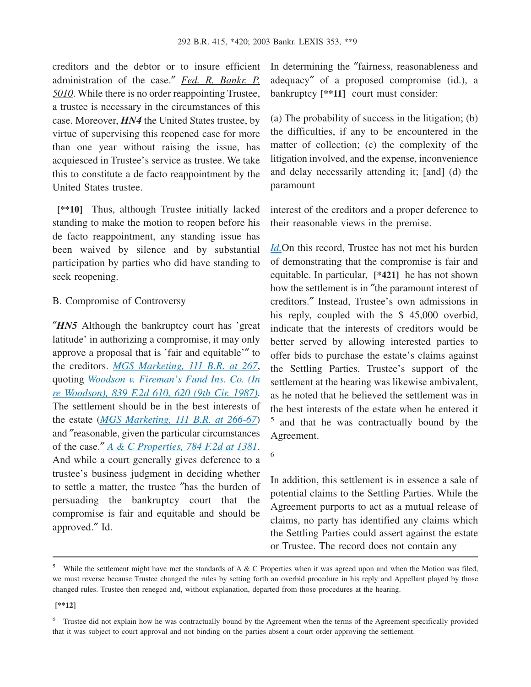creditors and the debtor or to insure efficient administration of the case.″ *Fed. R. Bankr. P. 5010*. While there is no order reappointing Trustee, a trustee is necessary in the circumstances of this case. Moreover, *HN4* the United States trustee, by virtue of supervising this reopened case for more than one year without raising the issue, has acquiesced in Trustee's service as trustee. We take this to constitute a de facto reappointment by the United States trustee.

**[\*\*10]** Thus, although Trustee initially lacked standing to make the motion to reopen before his de facto reappointment, any standing issue has been waived by silence and by substantial participation by parties who did have standing to seek reopening.

#### B. Compromise of Controversy

″*HN5* Although the bankruptcy court has 'great latitude' in authorizing a compromise, it may only approve a proposal that is 'fair and equitable'″ to the creditors. *[MGS Marketing, 111 B.R. at 267](http://advance.lexis.com/api/document?collection=cases&id=urn:contentItem:3S4V-JWS0-0039-K354-00000-00&context=1000516)*, quoting *[Woodson v. Fireman's Fund Ins. Co. \(In](http://advance.lexis.com/api/document?collection=cases&id=urn:contentItem:3S4X-2V30-001B-K4TN-00000-00&context=1000516) [re Woodson\), 839 F.2d 610, 620 \(9th Cir. 1987\)](http://advance.lexis.com/api/document?collection=cases&id=urn:contentItem:3S4X-2V30-001B-K4TN-00000-00&context=1000516)*. The settlement should be in the best interests of the estate (*[MGS Marketing, 111 B.R. at 266-67](http://advance.lexis.com/api/document?collection=cases&id=urn:contentItem:3S4V-JWS0-0039-K354-00000-00&context=1000516)*) and ″reasonable, given the particular circumstances of the case.″ *[A & C Properties, 784 F.2d at 1381](http://advance.lexis.com/api/document?collection=cases&id=urn:contentItem:3S4X-89K0-0039-P1J8-00000-00&context=1000516)*. And while a court generally gives deference to a trustee's business judgment in deciding whether to settle a matter, the trustee ″has the burden of persuading the bankruptcy court that the compromise is fair and equitable and should be approved.″ Id.

In determining the ″fairness, reasonableness and adequacy″ of a proposed compromise (id.), a bankruptcy **[\*\*11]** court must consider:

(a) The probability of success in the litigation; (b) the difficulties, if any to be encountered in the matter of collection; (c) the complexity of the litigation involved, and the expense, inconvenience and delay necessarily attending it; [and] (d) the paramount

interest of the creditors and a proper deference to their reasonable views in the premise.

*[Id.](http://advance.lexis.com/api/document?collection=cases&id=urn:contentItem:3S4X-89K0-0039-P1J8-00000-00&context=1000516)*On this record, Trustee has not met his burden of demonstrating that the compromise is fair and equitable. In particular, **[\*421]** he has not shown how the settlement is in ″the paramount interest of creditors.″ Instead, Trustee's own admissions in his reply, coupled with the \$ 45,000 overbid, indicate that the interests of creditors would be better served by allowing interested parties to offer bids to purchase the estate's claims against the Settling Parties. Trustee's support of the settlement at the hearing was likewise ambivalent, as he noted that he believed the settlement was in the best interests of the estate when he entered it 5 and that he was contractually bound by the Agreement.

6

In addition, this settlement is in essence a sale of potential claims to the Settling Parties. While the Agreement purports to act as a mutual release of claims, no party has identified any claims which the Settling Parties could assert against the estate or Trustee. The record does not contain any

**[\*\*12]**

<sup>&</sup>lt;sup>5</sup> While the settlement might have met the standards of A  $\&$  C Properties when it was agreed upon and when the Motion was filed, we must reverse because Trustee changed the rules by setting forth an overbid procedure in his reply and Appellant played by those changed rules. Trustee then reneged and, without explanation, departed from those procedures at the hearing.

<sup>&</sup>lt;sup>6</sup> Trustee did not explain how he was contractually bound by the Agreement when the terms of the Agreement specifically provided that it was subject to court approval and not binding on the parties absent a court order approving the settlement.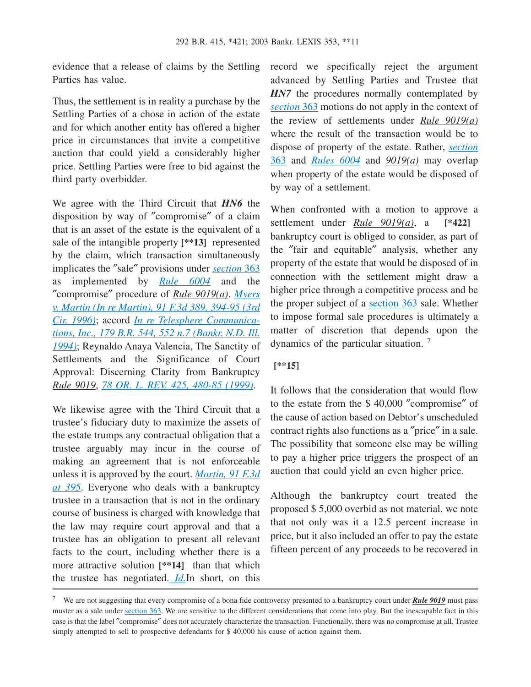evidence that a release of claims by the Settling Parties has value.

Thus, the settlement is in reality a purchase by the Settling Parties of a chose in action of the estate and for which another entity has offered a higher price in circumstances that invite a competitive auction that could yield a considerably higher price. Settling Parties were free to bid against the third party overbidder.

We agree with the Third Circuit that *HN6* the disposition by way of ″compromise″ of a claim that is an asset of the estate is the equivalent of a sale of the intangible property **[\*\*13]** represented by the claim, which transaction simultaneously implicates the ″sale″ provisions under *[section](http://advance.lexis.com/api/document?collection=statutes-legislation&id=urn:contentItem:4YF7-GRG1-NRF4-43FD-00000-00&context=1000516)* 363 as implemented by *[Rule 6004](http://advance.lexis.com/api/document?collection=statutes-legislation&id=urn:contentItem:4YF7-GHY1-NRF4-40J5-00000-00&context=1000516)* and the ″compromise″ procedure of *Rule 9019(a)*. *[Myers](http://advance.lexis.com/api/document?collection=cases&id=urn:contentItem:3S4X-2CC0-006F-M1WF-00000-00&context=1000516) [v. Martin \(In re Martin\), 91 F.3d 389, 394-95 \(3rd](http://advance.lexis.com/api/document?collection=cases&id=urn:contentItem:3S4X-2CC0-006F-M1WF-00000-00&context=1000516) [Cir. 1996\)](http://advance.lexis.com/api/document?collection=cases&id=urn:contentItem:3S4X-2CC0-006F-M1WF-00000-00&context=1000516)*; accord *[In re Telesphere Communica](http://advance.lexis.com/api/document?collection=cases&id=urn:contentItem:3S4V-NWG0-003B-X2J1-00000-00&context=1000516)[tions, Inc., 179 B.R. 544, 552 n.7 \(Bankr. N.D. Ill.](http://advance.lexis.com/api/document?collection=cases&id=urn:contentItem:3S4V-NWG0-003B-X2J1-00000-00&context=1000516) [1994\)](http://advance.lexis.com/api/document?collection=cases&id=urn:contentItem:3S4V-NWG0-003B-X2J1-00000-00&context=1000516)*; Reynaldo Anaya Valencia, The Sanctity of Settlements and the Significance of Court Approval: Discerning Clarity from Bankruptcy *Rule 9019*, *[78 OR. L. REV. 425, 480-85 \(1999\)](http://advance.lexis.com/api/document?collection=analytical-materials&id=urn:contentItem:3YRV-JMX0-00CW-C0DJ-00000-00&context=1000516)*.

We likewise agree with the Third Circuit that a trustee's fiduciary duty to maximize the assets of the estate trumps any contractual obligation that a trustee arguably may incur in the course of making an agreement that is not enforceable unless it is approved by the court. *[Martin, 91 F.3d](http://advance.lexis.com/api/document?collection=cases&id=urn:contentItem:3S4X-2CC0-006F-M1WF-00000-00&context=1000516) [at 395](http://advance.lexis.com/api/document?collection=cases&id=urn:contentItem:3S4X-2CC0-006F-M1WF-00000-00&context=1000516)*. Everyone who deals with a bankruptcy trustee in a transaction that is not in the ordinary course of business is charged with knowledge that the law may require court approval and that a trustee has an obligation to present all relevant facts to the court, including whether there is a more attractive solution **[\*\*14]** than that which the trustee has negotiated. *[Id.](http://advance.lexis.com/api/document?collection=cases&id=urn:contentItem:3S4X-89K0-0039-P1J8-00000-00&context=1000516)*In short, on this

record we specifically reject the argument advanced by Settling Parties and Trustee that *HN7* the procedures normally contemplated by *[section](http://advance.lexis.com/api/document?collection=statutes-legislation&id=urn:contentItem:4YF7-GRG1-NRF4-43FD-00000-00&context=1000516)* 363 motions do not apply in the context of the review of settlements under *Rule 9019(a)* where the result of the transaction would be to dispose of property of the estate. Rather, *[section](http://advance.lexis.com/api/document?collection=statutes-legislation&id=urn:contentItem:4YF7-GRG1-NRF4-43FD-00000-00&context=1000516)* [363](http://advance.lexis.com/api/document?collection=statutes-legislation&id=urn:contentItem:4YF7-GRG1-NRF4-43FD-00000-00&context=1000516) and *[Rules 6004](http://advance.lexis.com/api/document?collection=statutes-legislation&id=urn:contentItem:4YF7-GHY1-NRF4-40J5-00000-00&context=1000516)* and *9019(a)* may overlap when property of the estate would be disposed of by way of a settlement.

When confronted with a motion to approve a settlement under *Rule 9019(a)*, a **[\*422]** bankruptcy court is obliged to consider, as part of the ″fair and equitable″ analysis, whether any property of the estate that would be disposed of in connection with the settlement might draw a higher price through a competitive process and be the proper subject of a [section 363](http://advance.lexis.com/api/document?collection=statutes-legislation&id=urn:contentItem:4YF7-GRG1-NRF4-43FD-00000-00&context=1000516) sale. Whether to impose formal sale procedures is ultimately a matter of discretion that depends upon the dynamics of the particular situation. <sup>7</sup>

#### **[\*\*15]**

It follows that the consideration that would flow to the estate from the \$ 40,000 ″compromise″ of the cause of action based on Debtor's unscheduled contract rights also functions as a ″price″ in a sale. The possibility that someone else may be willing to pay a higher price triggers the prospect of an auction that could yield an even higher price.

Although the bankruptcy court treated the proposed \$ 5,000 overbid as not material, we note that not only was it a 12.5 percent increase in price, but it also included an offer to pay the estate fifteen percent of any proceeds to be recovered in

<sup>7</sup> We are not suggesting that every compromise of a bona fide controversy presented to a bankruptcy court under *Rule 9019* must pass muster as a sale under [section 363.](http://advance.lexis.com/api/document?collection=statutes-legislation&id=urn:contentItem:4YF7-GRG1-NRF4-43FD-00000-00&context=1000516) We are sensitive to the different considerations that come into play. But the inescapable fact in this case is that the label ″compromise″ does not accurately characterize the transaction. Functionally, there was no compromise at all. Trustee simply attempted to sell to prospective defendants for \$40,000 his cause of action against them.